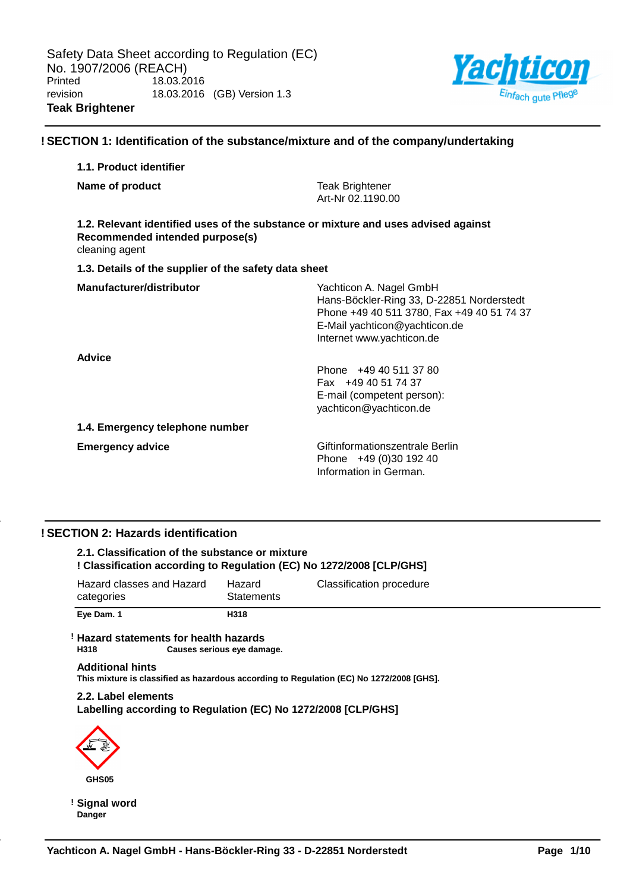

## **! SECTION 1: Identification of the substance/mixture and of the company/undertaking**

# **1.1. Product identifier Name of product Teak Brightener** Art-Nr 02.1190.00 **1.2. Relevant identified uses of the substance or mixture and uses advised against Recommended intended purpose(s)** cleaning agent **1.3. Details of the supplier of the safety data sheet Manufacturer/distributor** Wachticon A. Nagel GmbH Hans-Böckler-Ring 33, D-22851 Norderstedt Phone +49 40 511 3780, Fax +49 40 51 74 37 E-Mail yachticon@yachticon.de Internet www.yachticon.de **Advice** Phone +49 40 511 37 80 Fax +49 40 51 74 37 E-mail (competent person): yachticon@yachticon.de **1.4. Emergency telephone number Emergency advice Emergency advice Emergency advice Giftinformationszentrale Berlin** Phone +49 (0)30 192 40 Information in German.

## **! SECTION 2: Hazards identification**

## **2.1. Classification of the substance or mixture ! Classification according to Regulation (EC) No 1272/2008 [CLP/GHS]**

| categories<br>Eve Dam. 1  | <b>Statements</b><br>H318 |                          |
|---------------------------|---------------------------|--------------------------|
| Hazard classes and Hazard | Hazard                    | Classification procedure |

#### **! Hazard statements for health hazards Causes serious eye damage.**

#### **Additional hints This mixture is classified as hazardous according to Regulation (EC) No 1272/2008 [GHS].**

## **2.2. Label elements Labelling according to Regulation (EC) No 1272/2008 [CLP/GHS]**



**! Signal word Danger**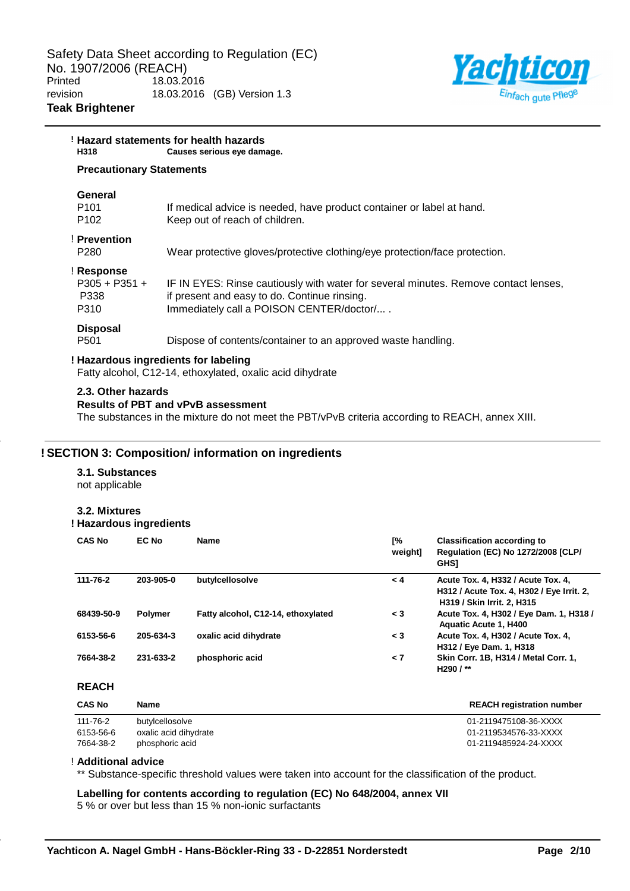

| H318                                            | ! Hazard statements for health hazards<br>Causes serious eye damage.                                                                                                            |
|-------------------------------------------------|---------------------------------------------------------------------------------------------------------------------------------------------------------------------------------|
| <b>Precautionary Statements</b>                 |                                                                                                                                                                                 |
| General<br>P <sub>101</sub><br>P <sub>102</sub> | If medical advice is needed, have product container or label at hand.<br>Keep out of reach of children.                                                                         |
| ! Prevention<br>P280                            | Wear protective gloves/protective clothing/eye protection/face protection.                                                                                                      |
| ! Response<br>$P305 + P351 +$<br>P338<br>P310   | IF IN EYES: Rinse cautiously with water for several minutes. Remove contact lenses,<br>if present and easy to do. Continue rinsing.<br>Immediately call a POISON CENTER/doctor/ |
| <b>Disposal</b><br>P <sub>501</sub>             | Dispose of contents/container to an approved waste handling.                                                                                                                    |
|                                                 | ! Hazardous ingredients for labeling                                                                                                                                            |

Fatty alcohol, C12-14, ethoxylated, oxalic acid dihydrate

#### **2.3. Other hazards**

#### **Results of PBT and vPvB assessment**

The substances in the mixture do not meet the PBT/vPvB criteria according to REACH, annex XIII.

## **! SECTION 3: Composition/ information on ingredients**

## **3.1. Substances**

not applicable

## **3.2. Mixtures**

## **! Hazardous ingredients**

| <b>CAS No</b> | EC No          | <b>Name</b>                        | Г%<br>weight] | <b>Classification according to</b><br>Regulation (EC) No 1272/2008 [CLP/<br><b>GHS1</b>                       |
|---------------|----------------|------------------------------------|---------------|---------------------------------------------------------------------------------------------------------------|
| 111-76-2      | 203-905-0      | butylcellosolve                    | $\leq 4$      | Acute Tox. 4, H332 / Acute Tox. 4,<br>H312 / Acute Tox. 4, H302 / Eye Irrit. 2,<br>H319 / Skin Irrit. 2, H315 |
| 68439-50-9    | <b>Polymer</b> | Fatty alcohol, C12-14, ethoxylated | $\leq 3$      | Acute Tox. 4, H302 / Eye Dam. 1, H318 /<br><b>Aquatic Acute 1, H400</b>                                       |
| 6153-56-6     | 205-634-3      | oxalic acid dihydrate              | $\leq 3$      | Acute Tox. 4, H302 / Acute Tox. 4,<br>H312 / Eye Dam. 1, H318                                                 |
| 7664-38-2     | 231-633-2      | phosphoric acid                    | $\leq 7$      | Skin Corr. 1B, H314 / Metal Corr. 1,<br>H <sub>290</sub> /**                                                  |

## **REACH**

| <b>CAS No</b> | Name                  | <b>REACH registration number</b> |
|---------------|-----------------------|----------------------------------|
| 111-76-2      | butylcellosolve       | 01-2119475108-36-XXXX            |
| 6153-56-6     | oxalic acid dihydrate | 01-2119534576-33-XXXX            |
| 7664-38-2     | phosphoric acid       | 01-2119485924-24-XXXX            |

#### ! **Additional advice**

\*\* Substance-specific threshold values were taken into account for the classification of the product.

**Labelling for contents according to regulation (EC) No 648/2004, annex VII**

5 % or over but less than 15 % non-ionic surfactants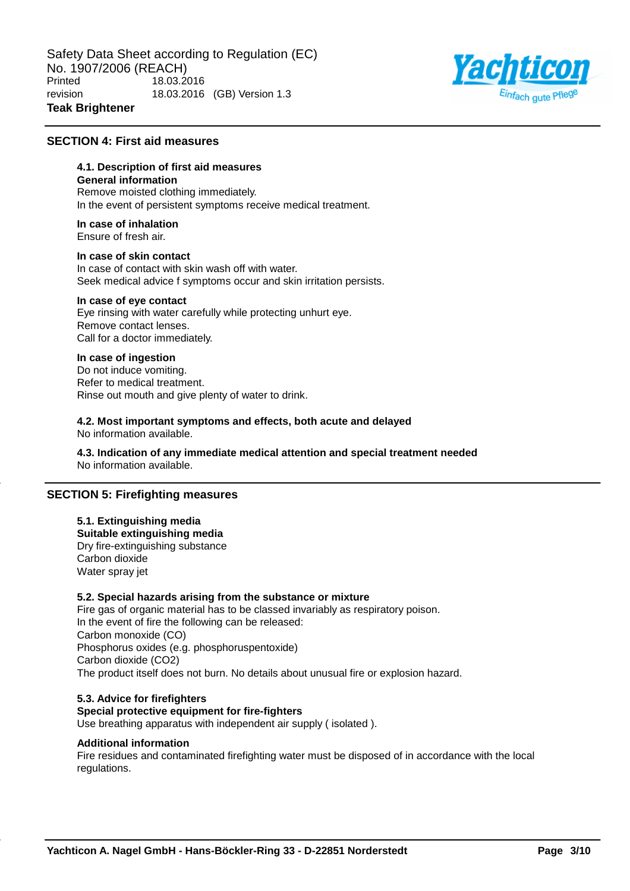

## **SECTION 4: First aid measures**

# **4.1. Description of first aid measures**

**General information**

Remove moisted clothing immediately. In the event of persistent symptoms receive medical treatment.

**In case of inhalation** Ensure of fresh air.

#### **In case of skin contact**

In case of contact with skin wash off with water. Seek medical advice f symptoms occur and skin irritation persists.

## **In case of eye contact**

Eye rinsing with water carefully while protecting unhurt eye. Remove contact lenses. Call for a doctor immediately.

#### **In case of ingestion**

Do not induce vomiting. Refer to medical treatment. Rinse out mouth and give plenty of water to drink.

**4.2. Most important symptoms and effects, both acute and delayed** No information available.

**4.3. Indication of any immediate medical attention and special treatment needed** No information available.

#### **SECTION 5: Firefighting measures**

#### **5.1. Extinguishing media Suitable extinguishing media** Dry fire-extinguishing substance Carbon dioxide Water spray jet

## **5.2. Special hazards arising from the substance or mixture**

Fire gas of organic material has to be classed invariably as respiratory poison. In the event of fire the following can be released: Carbon monoxide (CO) Phosphorus oxides (e.g. phosphoruspentoxide) Carbon dioxide (CO2) The product itself does not burn. No details about unusual fire or explosion hazard.

#### **5.3. Advice for firefighters Special protective equipment for fire-fighters**

Use breathing apparatus with independent air supply ( isolated ).

#### **Additional information**

Fire residues and contaminated firefighting water must be disposed of in accordance with the local regulations.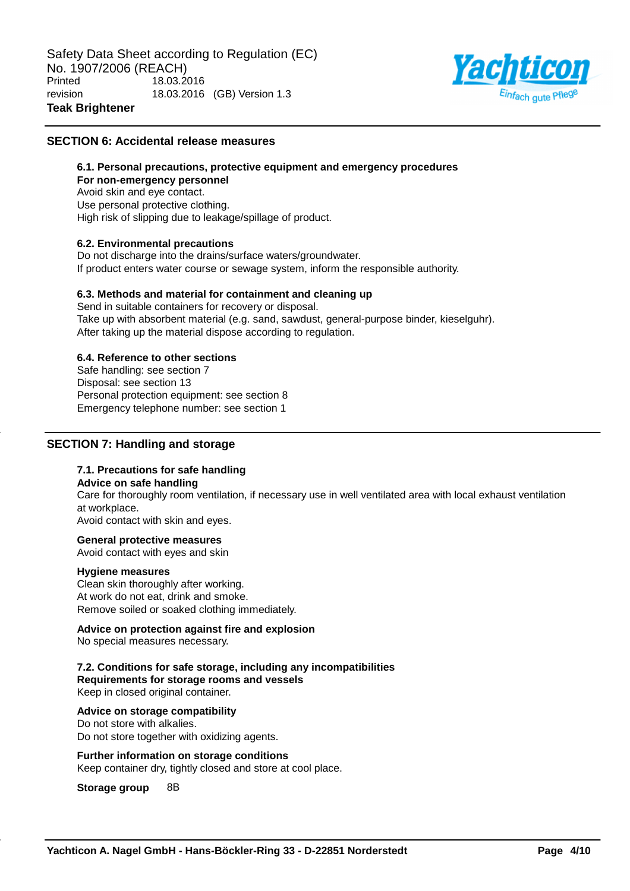

## **SECTION 6: Accidental release measures**

#### **6.1. Personal precautions, protective equipment and emergency procedures**

**For non-emergency personnel** Avoid skin and eye contact. Use personal protective clothing. High risk of slipping due to leakage/spillage of product.

#### **6.2. Environmental precautions**

Do not discharge into the drains/surface waters/groundwater. If product enters water course or sewage system, inform the responsible authority.

#### **6.3. Methods and material for containment and cleaning up**

Send in suitable containers for recovery or disposal. Take up with absorbent material (e.g. sand, sawdust, general-purpose binder, kieselguhr). After taking up the material dispose according to regulation.

## **6.4. Reference to other sections**

Safe handling: see section 7 Disposal: see section 13 Personal protection equipment: see section 8 Emergency telephone number: see section 1

## **SECTION 7: Handling and storage**

## **7.1. Precautions for safe handling**

#### **Advice on safe handling**

Care for thoroughly room ventilation, if necessary use in well ventilated area with local exhaust ventilation at workplace.

Avoid contact with skin and eyes.

#### **General protective measures**

Avoid contact with eyes and skin

#### **Hygiene measures**

Clean skin thoroughly after working. At work do not eat, drink and smoke. Remove soiled or soaked clothing immediately.

#### **Advice on protection against fire and explosion**

No special measures necessary.

#### **7.2. Conditions for safe storage, including any incompatibilities Requirements for storage rooms and vessels**

Keep in closed original container.

#### **Advice on storage compatibility**

Do not store with alkalies. Do not store together with oxidizing agents.

#### **Further information on storage conditions**

Keep container dry, tightly closed and store at cool place.

#### **Storage group** 8B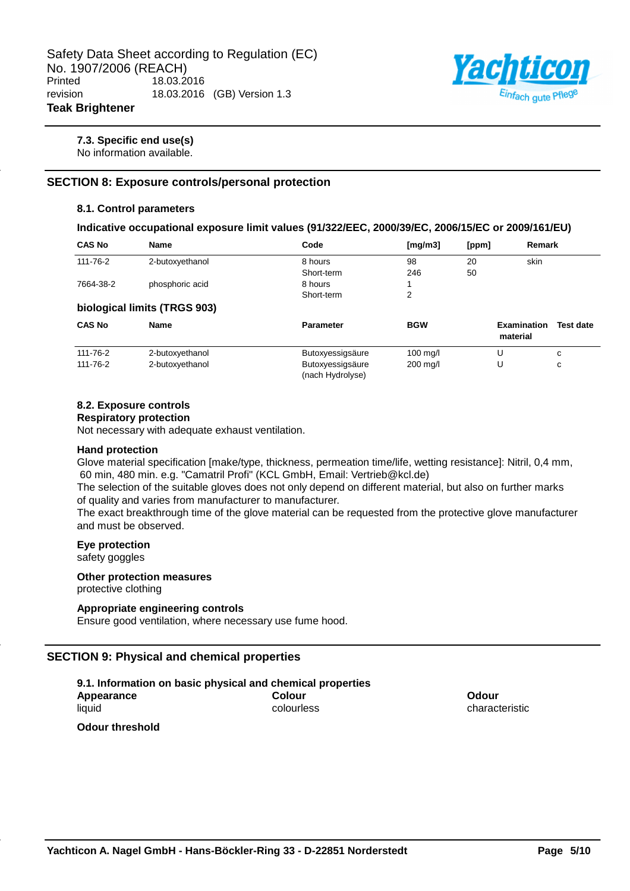

#### **7.3. Specific end use(s)**

No information available.

## **SECTION 8: Exposure controls/personal protection**

#### **8.1. Control parameters**

#### **Indicative occupational exposure limit values (91/322/EEC, 2000/39/EC, 2006/15/EC or 2009/161/EU)**

| <b>CAS No</b> | <b>Name</b>                  | Code                                 | [mg/m3]    | [ppm] | Remark                         |                  |
|---------------|------------------------------|--------------------------------------|------------|-------|--------------------------------|------------------|
| 111-76-2      | 2-butoxyethanol              | 8 hours                              | 98         | 20    | skin                           |                  |
|               |                              | Short-term                           | 246        | 50    |                                |                  |
| 7664-38-2     | phosphoric acid              | 8 hours                              |            |       |                                |                  |
|               |                              | Short-term                           | 2          |       |                                |                  |
|               | biological limits (TRGS 903) |                                      |            |       |                                |                  |
| <b>CAS No</b> | <b>Name</b>                  | <b>Parameter</b>                     | <b>BGW</b> |       | <b>Examination</b><br>material | <b>Test date</b> |
| 111-76-2      | 2-butoxyethanol              | Butoxyessigsäure                     | $100$ mg/l |       | U                              | C                |
| 111-76-2      | 2-butoxyethanol              | Butoxyessigsäure<br>(nach Hydrolyse) | $200$ mg/l |       | U                              | с                |

#### **8.2. Exposure controls**

#### **Respiratory protection**

Not necessary with adequate exhaust ventilation.

#### **Hand protection**

Glove material specification [make/type, thickness, permeation time/life, wetting resistance]: Nitril, 0,4 mm, 60 min, 480 min. e.g. "Camatril Profi" (KCL GmbH, Email: Vertrieb@kcl.de)

The selection of the suitable gloves does not only depend on different material, but also on further marks of quality and varies from manufacturer to manufacturer.

The exact breakthrough time of the glove material can be requested from the protective glove manufacturer and must be observed.

#### **Eye protection**

safety goggles

#### **Other protection measures** protective clothing

## **Appropriate engineering controls**

Ensure good ventilation, where necessary use fume hood.

## **SECTION 9: Physical and chemical properties**

| 9.1. Information on basic physical and chemical properties |            |
|------------------------------------------------------------|------------|
| Appearance                                                 | Colour     |
| liauid                                                     | colourless |

**Odour** characteristic

**Odour threshold**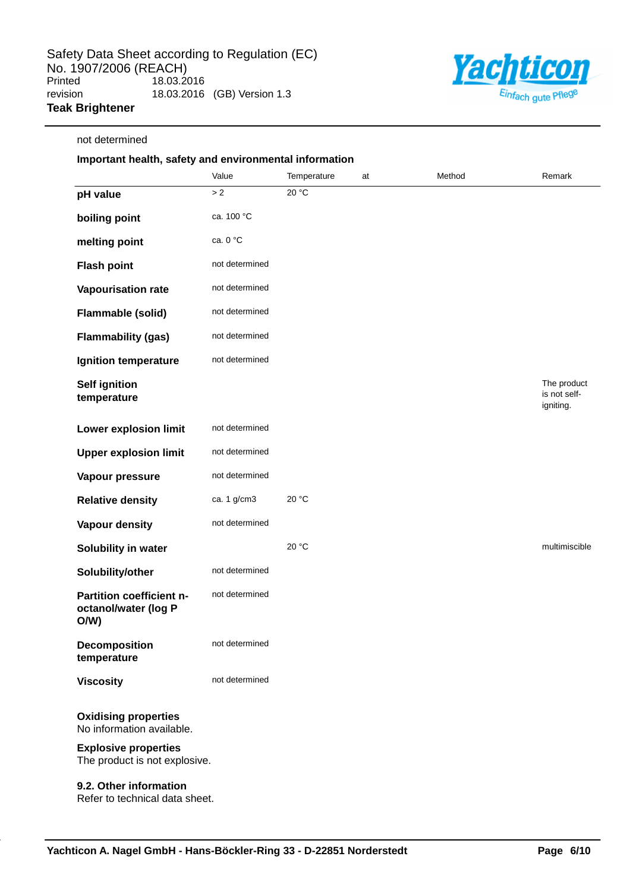

# not determined

# **Important health, safety and environmental information**

|                                                              | Value          | Temperature | at | Method | Remark                                   |
|--------------------------------------------------------------|----------------|-------------|----|--------|------------------------------------------|
| pH value                                                     | $>2$           | 20 °C       |    |        |                                          |
| boiling point                                                | ca. 100 °C     |             |    |        |                                          |
| melting point                                                | ca. 0 °C       |             |    |        |                                          |
| <b>Flash point</b>                                           | not determined |             |    |        |                                          |
| Vapourisation rate                                           | not determined |             |    |        |                                          |
| Flammable (solid)                                            | not determined |             |    |        |                                          |
| <b>Flammability (gas)</b>                                    | not determined |             |    |        |                                          |
| Ignition temperature                                         | not determined |             |    |        |                                          |
| <b>Self ignition</b><br>temperature                          |                |             |    |        | The product<br>is not self-<br>igniting. |
| <b>Lower explosion limit</b>                                 | not determined |             |    |        |                                          |
| <b>Upper explosion limit</b>                                 | not determined |             |    |        |                                          |
| Vapour pressure                                              | not determined |             |    |        |                                          |
| <b>Relative density</b>                                      | ca. 1 g/cm3    | 20 °C       |    |        |                                          |
| Vapour density                                               | not determined |             |    |        |                                          |
| Solubility in water                                          |                | 20 °C       |    |        | multimiscible                            |
| Solubility/other                                             | not determined |             |    |        |                                          |
| Partition coefficient n-<br>octanol/water (log P<br>O/W      | not determined |             |    |        |                                          |
| <b>Decomposition</b><br>temperature                          | not determined |             |    |        |                                          |
| <b>Viscosity</b>                                             | not determined |             |    |        |                                          |
| <b>Oxidising properties</b><br>No information available.     |                |             |    |        |                                          |
| <b>Explosive properties</b><br>The product is not explosive. |                |             |    |        |                                          |

## **9.2. Other information**

Refer to technical data sheet.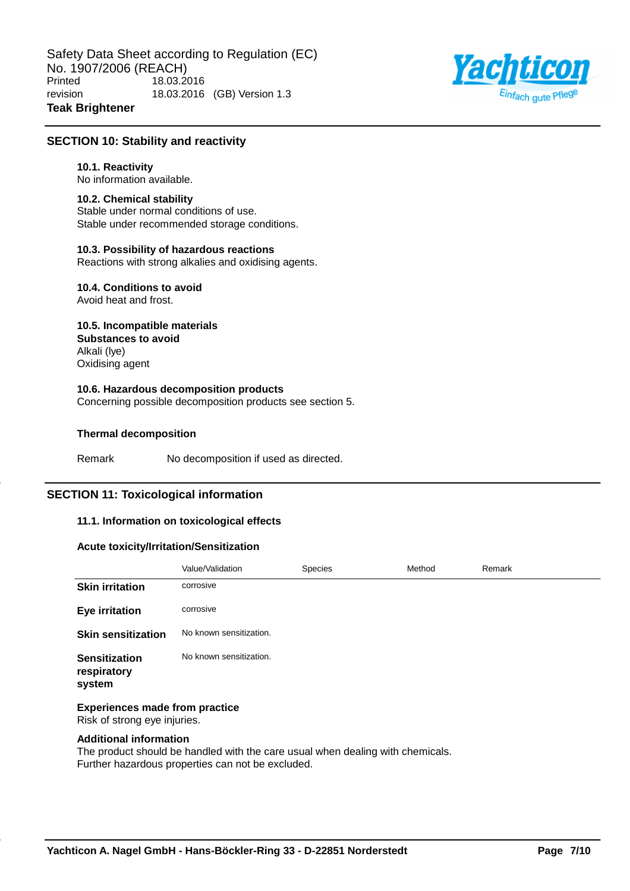

## **SECTION 10: Stability and reactivity**

#### **10.1. Reactivity**

No information available.

#### **10.2. Chemical stability**

Stable under normal conditions of use. Stable under recommended storage conditions.

#### **10.3. Possibility of hazardous reactions**

Reactions with strong alkalies and oxidising agents.

# **10.4. Conditions to avoid**

Avoid heat and frost.

#### **10.5. Incompatible materials Substances to avoid** Alkali (lye)

Oxidising agent

## **10.6. Hazardous decomposition products**

Concerning possible decomposition products see section 5.

## **Thermal decomposition**

Remark No decomposition if used as directed.

## **SECTION 11: Toxicological information**

#### **11.1. Information on toxicological effects**

#### **Acute toxicity/Irritation/Sensitization**

|                                               | Value/Validation        | Species | Method | Remark |
|-----------------------------------------------|-------------------------|---------|--------|--------|
| <b>Skin irritation</b>                        | corrosive               |         |        |        |
| <b>Eye irritation</b>                         | corrosive               |         |        |        |
| <b>Skin sensitization</b>                     | No known sensitization. |         |        |        |
| <b>Sensitization</b><br>respiratory<br>system | No known sensitization. |         |        |        |

#### **Experiences made from practice** Risk of strong eye injuries.

#### **Additional information**

The product should be handled with the care usual when dealing with chemicals. Further hazardous properties can not be excluded.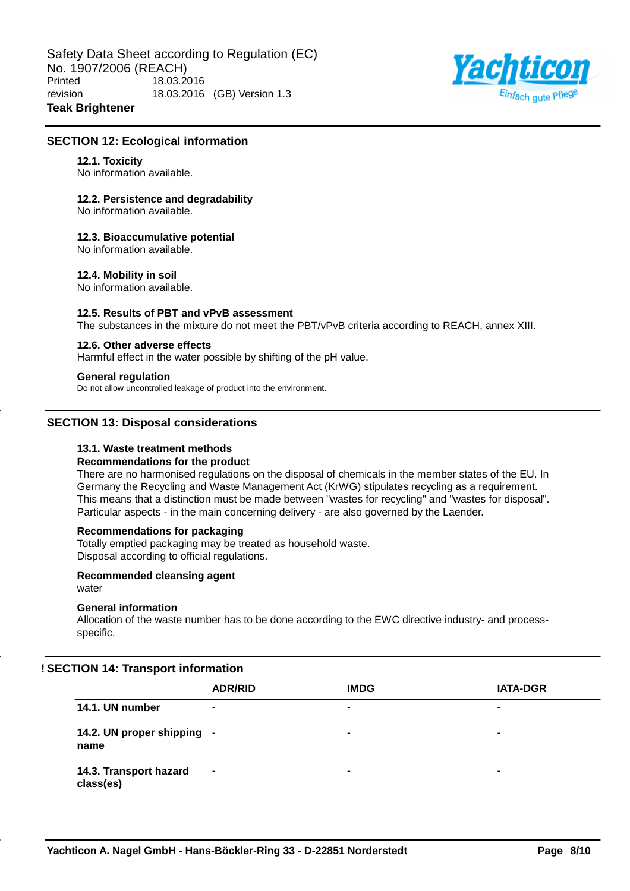

## **SECTION 12: Ecological information**

#### **12.1. Toxicity**

No information available.

## **12.2. Persistence and degradability**

No information available.

## **12.3. Bioaccumulative potential**

No information available.

## **12.4. Mobility in soil**

No information available.

## **12.5. Results of PBT and vPvB assessment**

The substances in the mixture do not meet the PBT/vPvB criteria according to REACH, annex XIII.

## **12.6. Other adverse effects**

Harmful effect in the water possible by shifting of the pH value.

#### **General regulation**

Do not allow uncontrolled leakage of product into the environment.

## **SECTION 13: Disposal considerations**

## **13.1. Waste treatment methods**

#### **Recommendations for the product**

There are no harmonised regulations on the disposal of chemicals in the member states of the EU. In Germany the Recycling and Waste Management Act (KrWG) stipulates recycling as a requirement. This means that a distinction must be made between "wastes for recycling" and "wastes for disposal". Particular aspects - in the main concerning delivery - are also governed by the Laender.

## **Recommendations for packaging**

Totally emptied packaging may be treated as household waste. Disposal according to official regulations.

#### **Recommended cleansing agent**

water

## **General information**

Allocation of the waste number has to be done according to the EWC directive industry- and processspecific.

## **! SECTION 14: Transport information**

|                                     | <b>ADR/RID</b> | <b>IMDG</b> | <b>IATA-DGR</b> |
|-------------------------------------|----------------|-------------|-----------------|
| 14.1. UN number                     | ۰              | ٠           | ۰               |
| 14.2. UN proper shipping -<br>name  |                | -           | -               |
| 14.3. Transport hazard<br>class(es) | ۰              | -           | ۰               |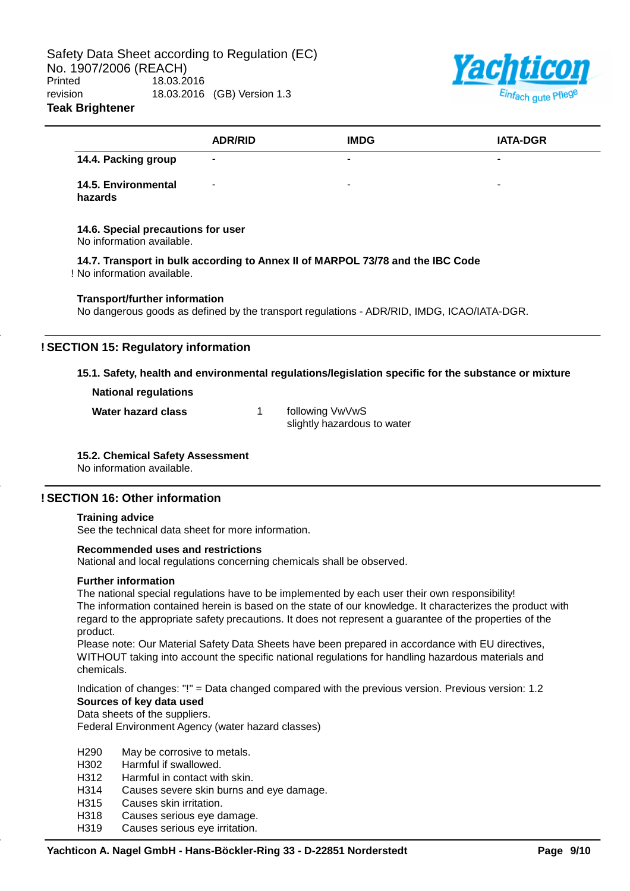

| 14.4. Packing group<br>14.5. Environmental<br>hazards<br>14.6. Special precautions for user<br>No information available.<br>14.7. Transport in bulk according to Annex II of MARPOL 73/78 and the IBC Code |  |
|------------------------------------------------------------------------------------------------------------------------------------------------------------------------------------------------------------|--|
|                                                                                                                                                                                                            |  |
| ! No information available.                                                                                                                                                                                |  |
|                                                                                                                                                                                                            |  |
|                                                                                                                                                                                                            |  |
| <b>Transport/further information</b><br>No dangerous goods as defined by the transport regulations - ADR/RID, IMDG, ICAO/IATA-DGR.                                                                         |  |

**Water hazard class** 1 following VwVwS slightly hazardous to water

## **15.2. Chemical Safety Assessment**

No information available.

## **! SECTION 16: Other information**

#### **Training advice**

See the technical data sheet for more information.

#### **Recommended uses and restrictions**

National and local regulations concerning chemicals shall be observed.

#### **Further information**

The national special regulations have to be implemented by each user their own responsibility! The information contained herein is based on the state of our knowledge. It characterizes the product with regard to the appropriate safety precautions. It does not represent a guarantee of the properties of the product.

Please note: Our Material Safety Data Sheets have been prepared in accordance with EU directives, WITHOUT taking into account the specific national regulations for handling hazardous materials and chemicals.

Indication of changes: "!" = Data changed compared with the previous version. Previous version: 1.2 **Sources of key data used**

Data sheets of the suppliers.

Federal Environment Agency (water hazard classes)

- H290 May be corrosive to metals.
- H302 Harmful if swallowed.
- H312 Harmful in contact with skin.
- H314 Causes severe skin burns and eye damage.
- H315 Causes skin irritation.
- H318 Causes serious eye damage.
- H319 Causes serious eye irritation.